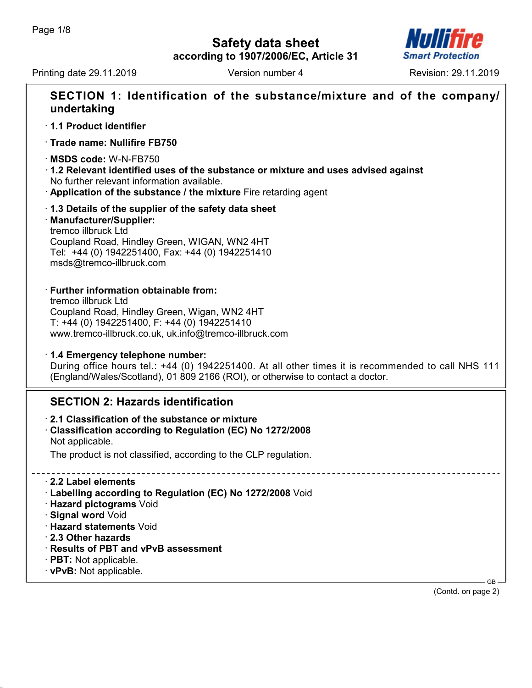# **Safety data sheet**



Printing date 29.11.2019 **Version number 4** Revision: 29.11.2019

**according to 1907/2006/EC, Article 31**

| SECTION 1: Identification of the substance/mixture and of the company/<br>undertaking                                                                                                                                                                                                        |
|----------------------------------------------------------------------------------------------------------------------------------------------------------------------------------------------------------------------------------------------------------------------------------------------|
| 1.1 Product identifier                                                                                                                                                                                                                                                                       |
| Trade name: Nullifire FB750                                                                                                                                                                                                                                                                  |
| MSDS code: W-N-FB750<br>$\cdot$ 1.2 Relevant identified uses of the substance or mixture and uses advised against<br>No further relevant information available.<br>Application of the substance / the mixture Fire retarding agent                                                           |
| 1.3 Details of the supplier of the safety data sheet<br>· Manufacturer/Supplier:<br>tremco illbruck Ltd<br>Coupland Road, Hindley Green, WIGAN, WN2 4HT<br>Tel: +44 (0) 1942251400, Fax: +44 (0) 1942251410<br>msds@tremco-illbruck.com                                                      |
| · Further information obtainable from:<br>tremco illbruck Ltd<br>Coupland Road, Hindley Green, Wigan, WN2 4HT<br>T: +44 (0) 1942251400, F: +44 (0) 1942251410<br>www.tremco-illbruck.co.uk, uk.info@tremco-illbruck.com                                                                      |
| 1.4 Emergency telephone number:<br>During office hours tel.: +44 (0) 1942251400. At all other times it is recommended to call NHS 111<br>(England/Wales/Scotland), 01 809 2166 (ROI), or otherwise to contact a doctor.                                                                      |
| <b>SECTION 2: Hazards identification</b>                                                                                                                                                                                                                                                     |
| 2.1 Classification of the substance or mixture<br>Classification according to Regulation (EC) No 1272/2008<br>Not applicable.<br>The product is not classified, according to the CLP regulation.                                                                                             |
| 2.2 Label elements<br>Labelling according to Regulation (EC) No 1272/2008 Void<br>· Hazard pictograms Void<br>· Signal word Void<br>· Hazard statements Void<br>2.3 Other hazards<br>Results of PBT and vPvB assessment<br>$\cdot$ PBT: Not applicable.<br>· vPvB: Not applicable.<br>$GB -$ |

(Contd. on page 2)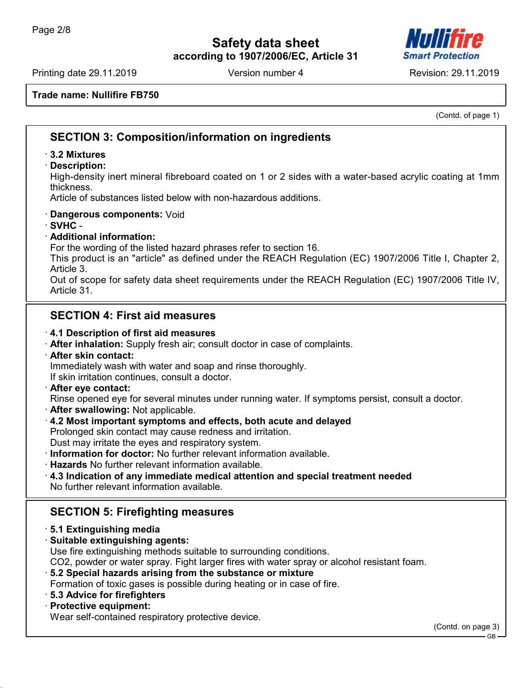

Printing date 29.11.2019 **Version number 4** Revision: 29.11.2019

**Trade name: Nullifire FB750**

(Contd. of page 1)

# **SECTION 3: Composition/information on ingredients**

#### · **3.2 Mixtures**

· **Description:**

High-density inert mineral fibreboard coated on 1 or 2 sides with a water-based acrylic coating at 1mm thickness.

Article of substances listed below with non-hazardous additions.

- · **Dangerous components:** Void
- · **SVHC** -

#### · **Additional information:**

For the wording of the listed hazard phrases refer to section 16.

This product is an "article" as defined under the REACH Regulation (EC) 1907/2006 Title I, Chapter 2, Article 3.

Out of scope for safety data sheet requirements under the REACH Regulation (EC) 1907/2006 Title IV, Article 31.

# **SECTION 4: First aid measures**

#### · **4.1 Description of first aid measures**

- · **After inhalation:** Supply fresh air; consult doctor in case of complaints.
- · **After skin contact:** Immediately wash with water and soap and rinse thoroughly.

If skin irritation continues, consult a doctor.

· **After eye contact:**

Rinse opened eye for several minutes under running water. If symptoms persist, consult a doctor.

- · **After swallowing:** Not applicable.
- · **4.2 Most important symptoms and effects, both acute and delayed**

Prolonged skin contact may cause redness and irritation.

Dust may irritate the eyes and respiratory system.

- · **Information for doctor:** No further relevant information available.
- · **Hazards** No further relevant information available.
- · **4.3 Indication of any immediate medical attention and special treatment needed** No further relevant information available.

# **SECTION 5: Firefighting measures**

#### · **5.1 Extinguishing media**

· **Suitable extinguishing agents:**

Use fire extinguishing methods suitable to surrounding conditions.

CO2, powder or water spray. Fight larger fires with water spray or alcohol resistant foam.

#### · **5.2 Special hazards arising from the substance or mixture**

Formation of toxic gases is possible during heating or in case of fire.

· **5.3 Advice for firefighters**

#### · **Protective equipment:**

Wear self-contained respiratory protective device.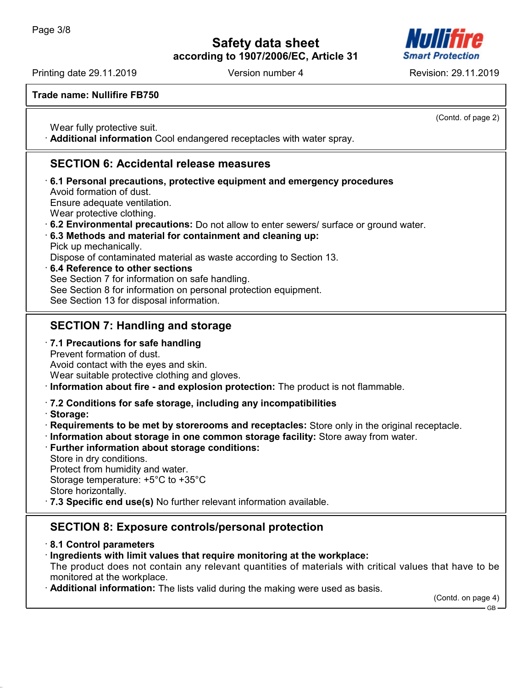

Printing date 29.11.2019 Version number 4 Revision: 29.11.2019

**Trade name: Nullifire FB750**

(Contd. of page 2)

Wear fully protective suit. · **Additional information** Cool endangered receptacles with water spray.

# **SECTION 6: Accidental release measures**

· **6.1 Personal precautions, protective equipment and emergency procedures** Avoid formation of dust. Ensure adequate ventilation. Wear protective clothing. · **6.2 Environmental precautions:** Do not allow to enter sewers/ surface or ground water. · **6.3 Methods and material for containment and cleaning up:** Pick up mechanically. Dispose of contaminated material as waste according to Section 13. · **6.4 Reference to other sections** See Section 7 for information on safe handling. See Section 8 for information on personal protection equipment. See Section 13 for disposal information.

# **SECTION 7: Handling and storage**

· **7.1 Precautions for safe handling** Prevent formation of dust. Avoid contact with the eyes and skin.

Wear suitable protective clothing and gloves.

· **Information about fire - and explosion protection:** The product is not flammable.

### · **7.2 Conditions for safe storage, including any incompatibilities**

- · **Storage:**
- · **Requirements to be met by storerooms and receptacles:** Store only in the original receptacle.
- · **Information about storage in one common storage facility:** Store away from water.
- · **Further information about storage conditions:** Store in dry conditions.

Protect from humidity and water. Storage temperature: +5°C to +35°C Store horizontally.

· **7.3 Specific end use(s)** No further relevant information available.

# **SECTION 8: Exposure controls/personal protection**

· **8.1 Control parameters**

· **Ingredients with limit values that require monitoring at the workplace:**

The product does not contain any relevant quantities of materials with critical values that have to be monitored at the workplace.

Additional information: The lists valid during the making were used as basis.

(Contd. on page 4)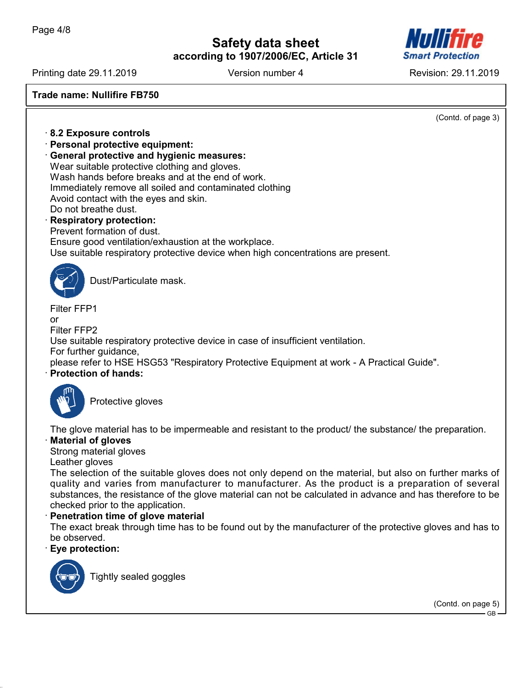

Printing date 29.11.2019 Version number 4 Revision: 29.11.2019

**Trade name: Nullifire FB750**

(Contd. of page 3)

- · **8.2 Exposure controls**
- · **Personal protective equipment:**
- · **General protective and hygienic measures:**

Wear suitable protective clothing and gloves. Wash hands before breaks and at the end of work. Immediately remove all soiled and contaminated clothing Avoid contact with the eyes and skin. Do not breathe dust.

· **Respiratory protection:**

Prevent formation of dust.

Ensure good ventilation/exhaustion at the workplace.

Use suitable respiratory protective device when high concentrations are present.



Dust/Particulate mask.

Filter FFP1  $\alpha$ r Filter FFP2 Use suitable respiratory protective device in case of insufficient ventilation. For further guidance, please refer to HSE HSG53 "Respiratory Protective Equipment at work - A Practical Guide". · **Protection of hands:**



Protective gloves

The glove material has to be impermeable and resistant to the product/ the substance/ the preparation.

#### · **Material of gloves**

Strong material gloves

Leather gloves

The selection of the suitable gloves does not only depend on the material, but also on further marks of quality and varies from manufacturer to manufacturer. As the product is a preparation of several substances, the resistance of the glove material can not be calculated in advance and has therefore to be checked prior to the application.

#### **Penetration time of glove material**

The exact break through time has to be found out by the manufacturer of the protective gloves and has to be observed.

#### · **Eye protection:**



Tightly sealed goggles

(Contd. on page 5)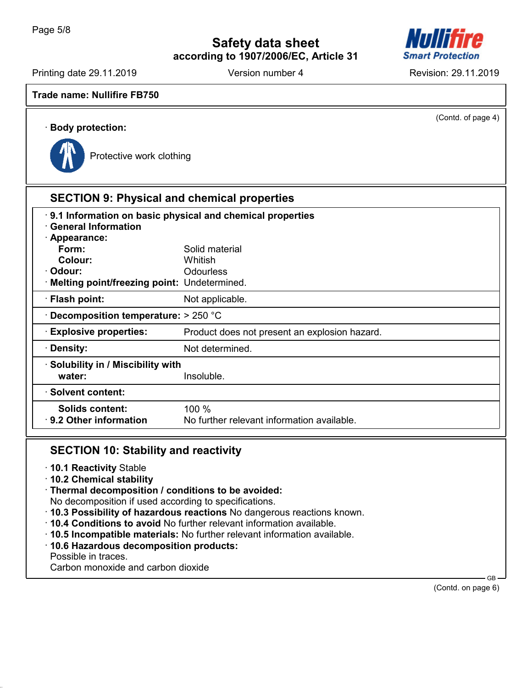

Printing date 29.11.2019 **Version number 4** Revision: 29.11.2019

**Trade name: Nullifire FB750**

(Contd. of page 4)

# · **Body protection:**



Protective work clothing

# **SECTION 9: Physical and chemical properties**

| 9.1 Information on basic physical and chemical properties<br><b>General Information</b> |                                               |  |  |  |
|-----------------------------------------------------------------------------------------|-----------------------------------------------|--|--|--|
| · Appearance:                                                                           |                                               |  |  |  |
| Form:                                                                                   | Solid material                                |  |  |  |
| Colour:                                                                                 | Whitish                                       |  |  |  |
| · Odour:                                                                                | <b>Odourless</b>                              |  |  |  |
| Melting point/freezing point: Undetermined.                                             |                                               |  |  |  |
| · Flash point:                                                                          | Not applicable.                               |  |  |  |
| $\cdot$ Decomposition temperature: $>$ 250 °C                                           |                                               |  |  |  |
| <b>Explosive properties:</b>                                                            | Product does not present an explosion hazard. |  |  |  |
| · Density:                                                                              | Not determined.                               |  |  |  |
| · Solubility in / Miscibility with                                                      |                                               |  |  |  |
| water:                                                                                  | Insoluble.                                    |  |  |  |
| · Solvent content:                                                                      |                                               |  |  |  |
| Solids content:                                                                         | 100%                                          |  |  |  |
| 9.2 Other information                                                                   | No further relevant information available.    |  |  |  |
|                                                                                         |                                               |  |  |  |

# **SECTION 10: Stability and reactivity**

- · **10.1 Reactivity** Stable
- · **10.2 Chemical stability**
- · **Thermal decomposition / conditions to be avoided:**
- No decomposition if used according to specifications.
- · **10.3 Possibility of hazardous reactions** No dangerous reactions known.
- · **10.4 Conditions to avoid** No further relevant information available.
- · **10.5 Incompatible materials:** No further relevant information available.
- · **10.6 Hazardous decomposition products:**

Possible in traces.

Carbon monoxide and carbon dioxide

(Contd. on page 6)

GB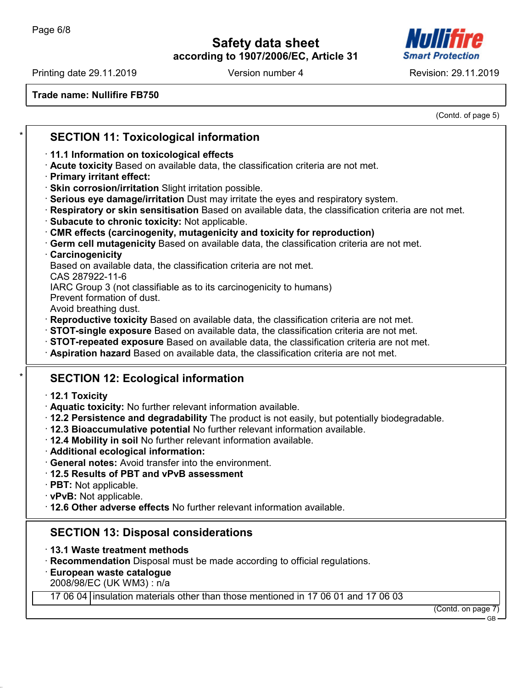

Printing date 29.11.2019 **Version number 4** Revision: 29.11.2019

**Trade name: Nullifire FB750**

(Contd. of page 5)

| $\star$ | <b>SECTION 11: Toxicological information</b>                                                                                                                                |
|---------|-----------------------------------------------------------------------------------------------------------------------------------------------------------------------------|
|         | 11.1 Information on toxicological effects                                                                                                                                   |
|         | Acute toxicity Based on available data, the classification criteria are not met.<br>· Primary irritant effect:                                                              |
|         | · Skin corrosion/irritation Slight irritation possible.                                                                                                                     |
|         | Serious eye damage/irritation Dust may irritate the eyes and respiratory system.                                                                                            |
|         | Respiratory or skin sensitisation Based on available data, the classification criteria are not met.<br>Subacute to chronic toxicity: Not applicable.                        |
|         | <b>CMR effects (carcinogenity, mutagenicity and toxicity for reproduction)</b>                                                                                              |
|         | Germ cell mutagenicity Based on available data, the classification criteria are not met.                                                                                    |
|         | Carcinogenicity                                                                                                                                                             |
|         | Based on available data, the classification criteria are not met.<br>CAS 287922-11-6                                                                                        |
|         | IARC Group 3 (not classifiable as to its carcinogenicity to humans)                                                                                                         |
|         | Prevent formation of dust.                                                                                                                                                  |
|         | Avoid breathing dust.<br>Reproductive toxicity Based on available data, the classification criteria are not met.                                                            |
|         | · STOT-single exposure Based on available data, the classification criteria are not met.                                                                                    |
|         | · STOT-repeated exposure Based on available data, the classification criteria are not met.                                                                                  |
|         | Aspiration hazard Based on available data, the classification criteria are not met.                                                                                         |
|         | <b>SECTION 12: Ecological information</b>                                                                                                                                   |
|         | $\cdot$ 12.1 Toxicity                                                                                                                                                       |
|         | · Aquatic toxicity: No further relevant information available.                                                                                                              |
|         | 12.2 Persistence and degradability The product is not easily, but potentially biodegradable.<br>· 12.3 Bioaccumulative potential No further relevant information available. |
|         | . 12.4 Mobility in soil No further relevant information available.                                                                                                          |
|         | · Additional ecological information:                                                                                                                                        |
|         | General notes: Avoid transfer into the environment.                                                                                                                         |
|         | 12.5 Results of PBT and vPvB assessment<br>· PBT: Not applicable.                                                                                                           |
|         | · vPvB: Not applicable.                                                                                                                                                     |
|         | . 12.6 Other adverse effects No further relevant information available.                                                                                                     |
|         | <b>SECTION 13: Disposal considerations</b>                                                                                                                                  |
|         | 13.1 Waste treatment methods                                                                                                                                                |
|         | Recommendation Disposal must be made according to official regulations.                                                                                                     |
|         | European waste catalogue                                                                                                                                                    |
|         | 2008/98/EC (UK WM3): n/a<br>17 06 04 insulation materials other than those mentioned in 17 06 01 and 17 06 03                                                               |
|         | (Contd. on page 7)                                                                                                                                                          |
|         |                                                                                                                                                                             |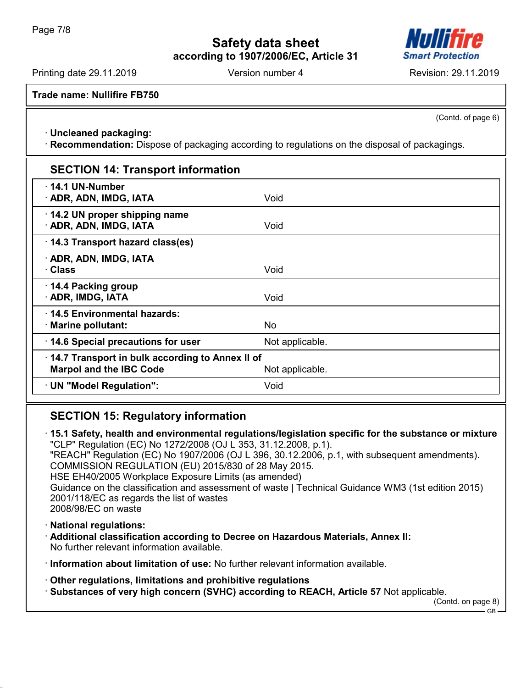

Printing date 29.11.2019 Version number 4 Revision: 29.11.2019

**Trade name: Nullifire FB750**

(Contd. of page 6)

· **Uncleaned packaging:**

· **Recommendation:** Dispose of packaging according to regulations on the disposal of packagings.

| <b>SECTION 14: Transport information</b>                                          |                 |  |
|-----------------------------------------------------------------------------------|-----------------|--|
| $\cdot$ 14.1 UN-Number<br>· ADR, ADN, IMDG, IATA                                  | Void            |  |
| 14.2 UN proper shipping name<br>· ADR, ADN, IMDG, IATA                            | Void            |  |
| 14.3 Transport hazard class(es)                                                   |                 |  |
| · ADR, ADN, IMDG, IATA<br>· Class                                                 | Void            |  |
| 14.4 Packing group<br>· ADR, IMDG, IATA                                           | Void            |  |
| 14.5 Environmental hazards:<br>· Marine pollutant:                                | No.             |  |
| 14.6 Special precautions for user                                                 | Not applicable. |  |
| 14.7 Transport in bulk according to Annex II of<br><b>Marpol and the IBC Code</b> | Not applicable. |  |
| UN "Model Regulation":                                                            | Void            |  |

# **SECTION 15: Regulatory information**

· **15.1 Safety, health and environmental regulations/legislation specific for the substance or mixture**

"CLP" Regulation (EC) No 1272/2008 (OJ L 353, 31.12.2008, p.1). "REACH" Regulation (EC) No 1907/2006 (OJ L 396, 30.12.2006, p.1, with subsequent amendments). COMMISSION REGULATION (EU) 2015/830 of 28 May 2015.

HSE EH40/2005 Workplace Exposure Limits (as amended)

Guidance on the classification and assessment of waste | Technical Guidance WM3 (1st edition 2015) 2001/118/EC as regards the list of wastes

2008/98/EC on waste

· **National regulations:**

· **Additional classification according to Decree on Hazardous Materials, Annex II:** No further relevant information available.

· **Information about limitation of use:** No further relevant information available.

- · **Other regulations, limitations and prohibitive regulations**
- · **Substances of very high concern (SVHC) according to REACH, Article 57** Not applicable.

(Contd. on page 8)  $CR$